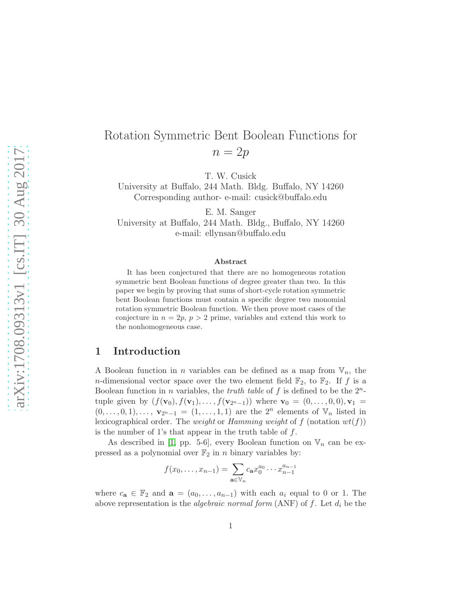# Rotation Symmetric Bent Boolean Functions for  $n = 2p$

T. W. Cusick

University at Buffalo, 244 Math. Bldg. Buffalo, NY 14260 Corresponding author- e-mail: cusick@buffalo.edu

E. M. Sanger University at Buffalo, 244 Math. Bldg., Buffalo, NY 14260 e-mail: ellynsan@buffalo.edu

#### Abstract

It has been conjectured that there are no homogeneous rotation symmetric bent Boolean functions of degree greater than two. In this paper we begin by proving that sums of short-cycle rotation symmetric bent Boolean functions must contain a specific degree two monomial rotation symmetric Boolean function. We then prove most cases of the conjecture in  $n = 2p$ ,  $p > 2$  prime, variables and extend this work to the nonhomogeneous case.

### 1 Introduction

A Boolean function in *n* variables can be defined as a map from  $V_n$ , the *n*-dimensional vector space over the two element field  $\mathbb{F}_2$ , to  $\mathbb{F}_2$ . If f is a Boolean function in *n* variables, the *truth table* of  $f$  is defined to be the  $2^n$ tuple given by  $(f(\mathbf{v}_0), f(\mathbf{v}_1), \ldots, f(\mathbf{v}_{2^{n}-1}))$  where  $\mathbf{v}_0 = (0, \ldots, 0, 0), \mathbf{v}_1 =$  $(0, \ldots, 0, 1), \ldots, \mathbf{v}_{2^{n}-1} = (1, \ldots, 1, 1)$  are the  $2^{n}$  elements of  $\mathbb{V}_{n}$  listed in lexicographical order. The *weight* or *Hamming weight* of f (notation  $wt(f)$ ) is the number of 1's that appear in the truth table of  $f$ .

As described in [\[1,](#page-15-0) pp. 5-6], every Boolean function on  $\mathbb{V}_n$  can be expressed as a polynomial over  $\mathbb{F}_2$  in n binary variables by:

$$
f(x_0, \dots, x_{n-1}) = \sum_{\mathbf{a} \in \mathbb{V}_n} c_{\mathbf{a}} x_0^{a_0} \cdots x_{n-1}^{a_{n-1}}
$$

where  $c_{\mathbf{a}} \in \mathbb{F}_2$  and  $\mathbf{a} = (a_0, \ldots, a_{n-1})$  with each  $a_i$  equal to 0 or 1. The above representation is the *algebraic normal form* (ANF) of f. Let  $d_i$  be the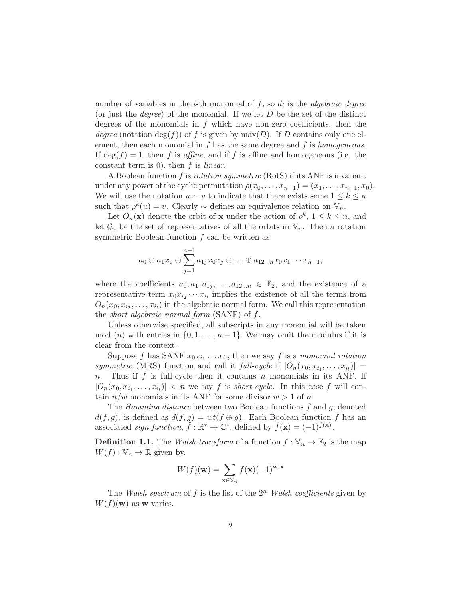number of variables in the *i*-th monomial of  $f$ , so  $d_i$  is the *algebraic degree* (or just the *degree*) of the monomial. If we let  $D$  be the set of the distinct degrees of the monomials in  $f$  which have non-zero coefficients, then the degree (notation  $\deg(f)$ ) of f is given by max(D). If D contains only one element, then each monomial in  $f$  has the same degree and  $f$  is homogeneous. If  $\deg(f) = 1$ , then f is affine, and if f is affine and homogeneous (i.e. the constant term is 0), then  $f$  is *linear*.

A Boolean function f is rotation symmetric (RotS) if its ANF is invariant under any power of the cyclic permutation  $\rho(x_0, \ldots, x_{n-1}) = (x_1, \ldots, x_{n-1}, x_0)$ . We will use the notation  $u \sim v$  to indicate that there exists some  $1 \leq k \leq n$ such that  $\rho^k(u) = v$ . Clearly  $\sim$  defines an equivalence relation on  $\mathbb{V}_n$ .

Let  $O_n(\mathbf{x})$  denote the orbit of **x** under the action of  $\rho^k$ ,  $1 \leq k \leq n$ , and let  $\mathcal{G}_n$  be the set of representatives of all the orbits in  $\mathbb{V}_n$ . Then a rotation symmetric Boolean function  $f$  can be written as

$$
a_0 \oplus a_1 x_0 \oplus \sum_{j=1}^{n-1} a_{1j} x_0 x_j \oplus \ldots \oplus a_{12...n} x_0 x_1 \cdots x_{n-1},
$$

where the coefficients  $a_0, a_1, a_{1j}, \ldots, a_{12...n} \in \mathbb{F}_2$ , and the existence of a representative term  $x_0 x_{i_2} \cdots x_{i_l}$  implies the existence of all the terms from  $O_n(x_0, x_{i_2}, \ldots, x_{i_l})$  in the algebraic normal form. We call this representation the short algebraic normal form (SANF) of f.

Unless otherwise specified, all subscripts in any monomial will be taken mod (n) with entries in  $\{0, 1, \ldots, n-1\}$ . We may omit the modulus if it is clear from the context.

Suppose f has SANF  $x_0x_{i_1}\ldots x_{i_l}$ , then we say f is a monomial rotation symmetric (MRS) function and call it full-cycle if  $|O_n(x_0, x_{i_1}, \ldots, x_{i_l})|$  =  $n.$  Thus if  $f$  is full-cycle then it contains  $n$  monomials in its ANF. If  $|O_n(x_0, x_{i_1}, \ldots, x_{i_l})| < n$  we say f is short-cycle. In this case f will contain  $n/w$  monomials in its ANF for some divisor  $w > 1$  of n.

The *Hamming distance* between two Boolean functions f and g, denoted  $d(f, g)$ , is defined as  $d(f, g) = wt(f \oplus g)$ . Each Boolean function f has an associated *sign function*,  $\hat{f} : \mathbb{R}^* \to \mathbb{C}^*$ , defined by  $\hat{f}(\mathbf{x}) = (-1)^{f(\mathbf{x})}$ .

**Definition 1.1.** The Walsh transform of a function  $f : \mathbb{V}_n \to \mathbb{F}_2$  is the map  $W(f): \mathbb{V}_n \to \mathbb{R}$  given by,

$$
W(f)(\mathbf{w}) = \sum_{\mathbf{x} \in \mathbb{V}_n} f(\mathbf{x}) (-1)^{\mathbf{w} \cdot \mathbf{x}}
$$

The Walsh spectrum of f is the list of the  $2^n$  Walsh coefficients given by  $W(f)(\mathbf{w})$  as **w** varies.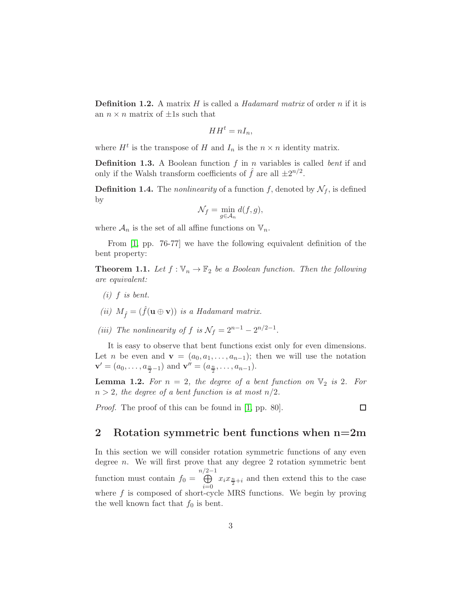**Definition 1.2.** A matrix  $H$  is called a *Hadamard matrix* of order  $n$  if it is an  $n \times n$  matrix of  $\pm 1$ s such that

$$
HH^t = nI_n,
$$

where  $H^t$  is the transpose of H and  $I_n$  is the  $n \times n$  identity matrix.

**Definition 1.3.** A Boolean function  $f$  in  $n$  variables is called *bent* if and only if the Walsh transform coefficients of  $\hat{f}$  are all  $\pm 2^{n/2}$ .

**Definition 1.4.** The *nonlinearity* of a function f, denoted by  $\mathcal{N}_f$ , is defined by

$$
\mathcal{N}_f = \min_{g \in \mathcal{A}_n} d(f, g),
$$

where  $\mathcal{A}_n$  is the set of all affine functions on  $\mathbb{V}_n$ .

From [\[1,](#page-15-0) pp. 76-77] we have the following equivalent definition of the bent property:

<span id="page-2-0"></span>**Theorem 1.1.** Let  $f : \mathbb{V}_n \to \mathbb{F}_2$  be a Boolean function. Then the following are equivalent:

- $(i)$  f is bent.
- (ii)  $M_{\hat{f}} = (\hat{f}(\mathbf{u} \oplus \mathbf{v}))$  is a Hadamard matrix.
- (iii) The nonlinearity of f is  $\mathcal{N}_f = 2^{n-1} 2^{n/2-1}$ .

It is easy to observe that bent functions exist only for even dimensions. Let *n* be even and  $\mathbf{v} = (a_0, a_1, \ldots, a_{n-1})$ ; then we will use the notation  $\mathbf{v}' = (a_0, \dots, a_{\frac{n}{2}-1})$  and  $\mathbf{v}'' = (a_{\frac{n}{2}}, \dots, a_{n-1}).$ 

<span id="page-2-2"></span>**Lemma 1.2.** For  $n = 2$ , the degree of a bent function on  $\mathbb{V}_2$  is 2. For  $n > 2$ , the degree of a bent function is at most  $n/2$ .

Proof. The proof of this can be found in [\[1,](#page-15-0) pp. 80].

## $\Box$

#### <span id="page-2-1"></span>2 Rotation symmetric bent functions when n=2m

In this section we will consider rotation symmetric functions of any even degree  $n$ . We will first prove that any degree 2 rotation symmetric bent function must contain  $f_0 =$  $n/2-1$ <br>← ←  $i=0$  $x_i x_{\frac{n}{2}+i}$  and then extend this to the case where  $f$  is composed of short-cycle MRS functions. We begin by proving the well known fact that  $f_0$  is bent.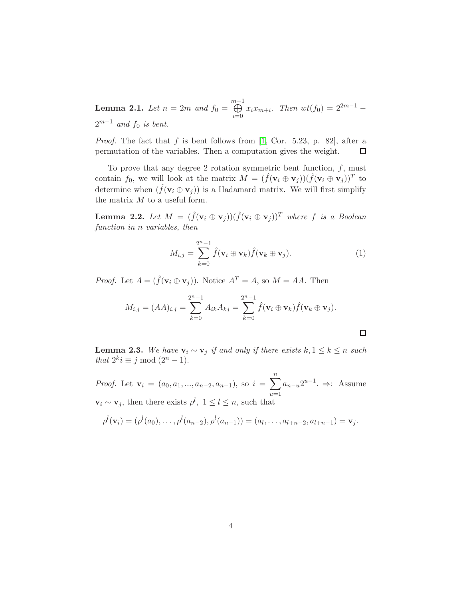<span id="page-3-2"></span>**Lemma 2.1.** Let  $n = 2m$  and  $f_0 = \bigoplus^{m-1}$  $i=0$  $x_i x_{m+i}$ . Then  $wt(f_0) = 2^{2m-1}$  –  $2^{m-1}$  and  $f_0$  is bent.

*Proof.* The fact that  $f$  is bent follows from [\[1,](#page-15-0) Cor. 5.23, p. 82], after a permutation of the variables. Then a computation gives the weight.  $\Box$ 

To prove that any degree 2 rotation symmetric bent function,  $f$ , must contain  $f_0$ , we will look at the matrix  $M = (\hat{f}(\mathbf{v}_i \oplus \mathbf{v}_j))(\hat{f}(\mathbf{v}_i \oplus \mathbf{v}_j))^T$  to determine when  $(\hat{f}(\mathbf{v}_i \oplus \mathbf{v}_j))$  is a Hadamard matrix. We will first simplify the matrix  $M$  to a useful form.

**Lemma 2.2.** Let  $M = (\hat{f}(\mathbf{v}_i \oplus \mathbf{v}_j))(\hat{f}(\mathbf{v}_i \oplus \mathbf{v}_j))^T$  where f is a Boolean function in n variables, then

<span id="page-3-1"></span>
$$
M_{i,j} = \sum_{k=0}^{2^n - 1} \hat{f}(\mathbf{v}_i \oplus \mathbf{v}_k) \hat{f}(\mathbf{v}_k \oplus \mathbf{v}_j).
$$
 (1)

*Proof.* Let  $A = (\hat{f}(\mathbf{v}_i \oplus \mathbf{v}_j))$ . Notice  $A^T = A$ , so  $M = AA$ . Then

$$
M_{i,j} = (AA)_{i,j} = \sum_{k=0}^{2^{n}-1} A_{ik} A_{kj} = \sum_{k=0}^{2^{n}-1} \hat{f}(\mathbf{v}_{i} \oplus \mathbf{v}_{k}) \hat{f}(\mathbf{v}_{k} \oplus \mathbf{v}_{j}).
$$

<span id="page-3-0"></span>**Lemma 2.3.** We have  $\mathbf{v}_i \sim \mathbf{v}_j$  if and only if there exists  $k, 1 \leq k \leq n$  such that  $2^k i \equiv j \mod (2^n - 1)$ .

*Proof.* Let  $\mathbf{v}_i = (a_0, a_1, ..., a_{n-2}, a_{n-1}),$  so  $i = \sum_{i=1}^{n}$  $u=1$  $a_{n-u}2^{u-1}$ .  $\Rightarrow$ : Assume  $\mathbf{v}_i \sim \mathbf{v}_j$ , then there exists  $\rho^l$ ,  $1 \leq l \leq n$ , such that

$$
\rho^l(\mathbf{v}_i)=(\rho^l(a_0),\ldots,\rho^l(a_{n-2}),\rho^l(a_{n-1}))=(a_l,\ldots,a_{l+n-2},a_{l+n-1})=\mathbf{v}_j.
$$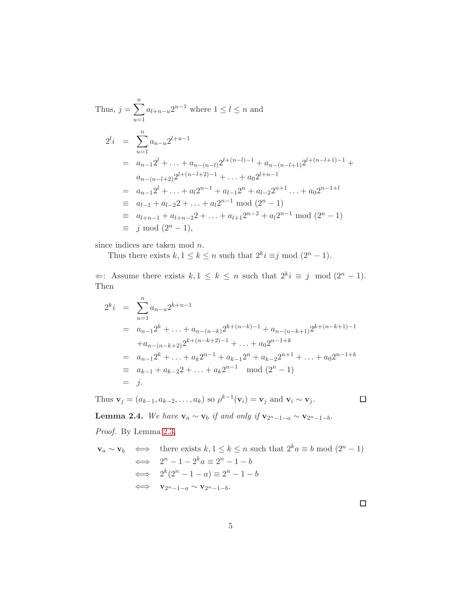Thus, 
$$
j = \sum_{u=1}^{n} a_{l+n-u} 2^{u-1}
$$
 where  $1 \le l \le n$  and  
\n
$$
2^{l}i = \sum_{u=1}^{n} a_{n-u} 2^{l+u-1}
$$
\n
$$
= a_{n-1} 2^{l} + \ldots + a_{n-(n-l)} 2^{l+(n-l)-1} + a_{n-(n-l+1)} 2^{l+(n-l+1)-1} + a_{n-(n-l+2)} 2^{l+(n-l+2)-1} + \ldots + a_0 2^{l+n-1}
$$
\n
$$
= a_{n-1} 2^{l} + \ldots + a_l 2^{n-1} + a_{l-1} 2^{n} + a_{l-2} 2^{n+1} + \ldots + a_0 2^{n-1+l}
$$
\n
$$
\equiv a_{l-1} + a_{l-2} 2 + \ldots + a_l 2^{n-1} \mod (2^n - 1)
$$
\n
$$
\equiv a_{l+n-1} + a_{l+n-2} 2 + \ldots + a_{l+1} 2^{n-2} + a_l 2^{n-1} \mod (2^n - 1)
$$
\n
$$
\equiv j \mod (2^n - 1),
$$

since indices are taken mod n.

Thus there exists  $k, 1 \leq k \leq n$  such that  $2^k i \equiv j \mod (2^n - 1)$ .

 $\Leftarrow$ : Assume there exists  $k, 1 \leq k \leq n$  such that  $2^{k}i \equiv j \mod (2^{n} - 1)$ . Then

$$
2^{k}i = \sum_{u=1}^{n} a_{n-u} 2^{k+u-1}
$$
  
=  $a_{n-1} 2^{k} + \dots + a_{n-(n-k)} 2^{k+(n-k)-1} + a_{n-(n-k+1)} 2^{k+(n-k+1)-1}$   
+  $a_{n-(n-k+2)} 2^{k+(n-k+2)-1} + \dots + a_0 2^{n-1+k}$   
=  $a_{n-1} 2^{k} + \dots + a_k 2^{n-1} + a_{k-1} 2^{n} + a_{k-2} 2^{n+1} + \dots + a_0 2^{n-1+k}$   
=  $a_{k-1} + a_{k-2} 2 + \dots + a_k 2^{n-1} \mod (2^n - 1)$   
= j.

Thus  $\mathbf{v}_j = (a_{k-1}, a_{k-2}, \dots, a_k)$  so  $\rho^{k-1}(\mathbf{v}_i) = \mathbf{v}_j$  and  $\mathbf{v}_i \sim \mathbf{v}_j$ .

 $\Box$ 

<span id="page-4-0"></span>**Lemma 2.4.** We have  $\mathbf{v}_a \sim \mathbf{v}_b$  if and only if  $\mathbf{v}_{2^n-1-a} \sim \mathbf{v}_{2^n-1-b}$ .

Proof. By Lemma [2.3,](#page-3-0)

$$
\mathbf{v}_a \sim \mathbf{v}_b \iff \text{there exists } k, 1 \le k \le n \text{ such that } 2^k a \equiv b \mod (2^n - 1)
$$
  

$$
\iff 2^n - 1 - 2^k a \equiv 2^n - 1 - b
$$
  

$$
\iff 2^k (2^n - 1 - a) \equiv 2^n - 1 - b
$$
  

$$
\iff \mathbf{v}_{2^n - 1 - a} \sim \mathbf{v}_{2^n - 1 - b}.
$$

 $\Box$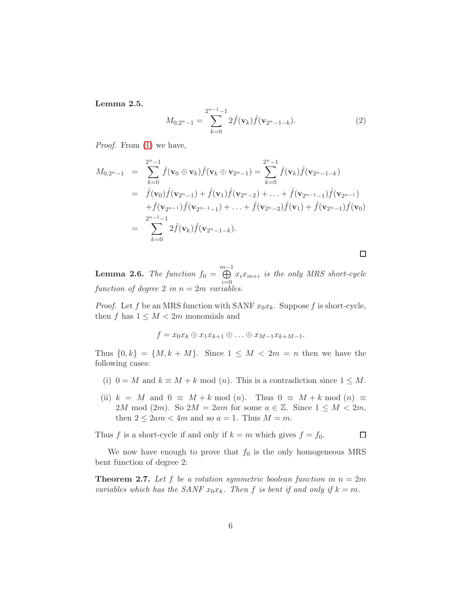Lemma 2.5.

<span id="page-5-1"></span>
$$
M_{0,2^{n}-1} = \sum_{k=0}^{2^{n}-1-1} 2\hat{f}(\mathbf{v}_{k})\hat{f}(\mathbf{v}_{2^{n}-1-k}).
$$
 (2)

Proof. From [\(1\)](#page-3-1) we have,

$$
M_{0,2^{n}-1} = \sum_{k=0}^{2^{n}-1} \hat{f}(\mathbf{v}_{0} \oplus \mathbf{v}_{k}) \hat{f}(\mathbf{v}_{k} \oplus \mathbf{v}_{2^{n}-1}) = \sum_{k=0}^{2^{n}-1} \hat{f}(\mathbf{v}_{k}) \hat{f}(\mathbf{v}_{2^{n}-1-k})
$$
  
\n
$$
= \hat{f}(\mathbf{v}_{0}) \hat{f}(\mathbf{v}_{2^{n}-1}) + \hat{f}(\mathbf{v}_{1}) \hat{f}(\mathbf{v}_{2^{n}-2}) + \ldots + \hat{f}(\mathbf{v}_{2^{n}-1}) \hat{f}(\mathbf{v}_{2^{n}-1})
$$
  
\n
$$
+ \hat{f}(\mathbf{v}_{2^{n}-1}) \hat{f}(\mathbf{v}_{2^{n}-1}) + \ldots + \hat{f}(\mathbf{v}_{2^{n}-2}) \hat{f}(\mathbf{v}_{1}) + \hat{f}(\mathbf{v}_{2^{n}-1}) \hat{f}(\mathbf{v}_{0})
$$
  
\n
$$
= \sum_{k=0}^{2^{n}-1} 2 \hat{f}(\mathbf{v}_{k}) \hat{f}(\mathbf{v}_{2^{n}-1-k}).
$$

<span id="page-5-0"></span>**Lemma 2.6.** The function  $f_0 = \bigoplus^{m-1}$  $i=0$  $x_i x_{m+i}$  is the only MRS short-cycle function of degree 2 in  $n = 2m$  variables.

*Proof.* Let f be an MRS function with SANF  $x_0x_k$ . Suppose f is short-cycle, then f has  $1 \leq M < 2m$  monomials and

$$
f = x_0 x_k \oplus x_1 x_{k+1} \oplus \ldots \oplus x_{M-1} x_{k+M-1}.
$$

Thus  $\{0,k\} = \{M, k+M\}$ . Since  $1 \leq M < 2m = n$  then we have the following cases:

- (i)  $0 = M$  and  $k \equiv M + k \mod(n)$ . This is a contradiction since  $1 \leq M$ .
- (ii)  $k = M$  and  $0 \equiv M + k \mod(n)$ . Thus  $0 \equiv M + k \mod(n) \equiv$ 2M mod (2m). So  $2M = 2am$  for some  $a \in \mathbb{Z}$ . Since  $1 \leq M < 2m$ , then  $2 \leq 2am < 4m$  and so  $a = 1$ . Thus  $M = m$ .

Thus f is a short-cycle if and only if  $k = m$  which gives  $f = f_0$ .

 $\Box$ 

 $\Box$ 

We now have enough to prove that  $f_0$  is the only homogeneous MRS bent function of degree 2:

<span id="page-5-2"></span>**Theorem 2.7.** Let f be a rotation symmetric boolean function in  $n = 2m$ variables which has the SANF  $x_0x_k$ . Then f is bent if and only if  $k = m$ .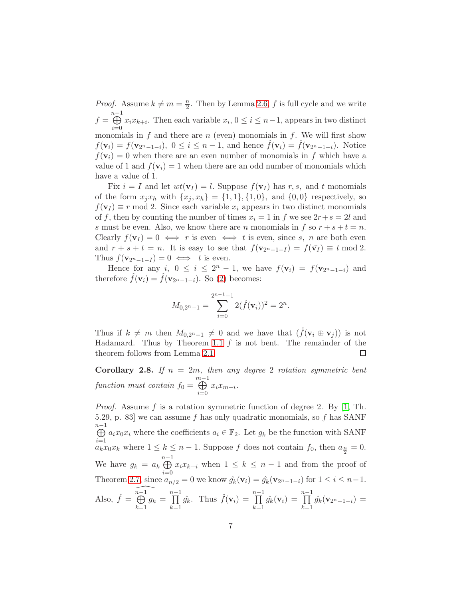*Proof.* Assume  $k \neq m = \frac{n}{2}$  $\frac{n}{2}$ . Then by Lemma [2.6,](#page-5-0) f is full cycle and we write  $f = \bigoplus^{n-1}$  $i=0$  $x_i x_{k+i}$ . Then each variable  $x_i, 0 \le i \le n-1$ , appears in two distinct monomials in  $f$  and there are  $n$  (even) monomials in  $f$ . We will first show  $f(\mathbf{v}_i) = f(\mathbf{v}_{2^n-1-i}), 0 \leq i \leq n-1$ , and hence  $f(\mathbf{v}_i) = f(\mathbf{v}_{2^n-1-i})$ . Notice  $f(\mathbf{v}_i) = 0$  when there are an even number of monomials in f which have a value of 1 and  $f(\mathbf{v}_i) = 1$  when there are an odd number of monomials which have a value of 1.

Fix  $i = I$  and let  $wt(\mathbf{v}_I) = l$ . Suppose  $f(\mathbf{v}_I)$  has r, s, and t monomials of the form  $x_jx_h$  with  $\{x_j, x_h\} = \{1, 1\}, \{1, 0\}, \text{ and } \{0, 0\}$  respectively, so  $f(\mathbf{v}_I) \equiv r \mod 2$ . Since each variable  $x_i$  appears in two distinct monomials of f, then by counting the number of times  $x_i = 1$  in f we see  $2r + s = 2l$  and s must be even. Also, we know there are n monomials in f so  $r + s + t = n$ . Clearly  $f(\mathbf{v}_I) = 0 \iff r$  is even  $\iff t$  is even, since s, n are both even and  $r + s + t = n$ . It is easy to see that  $f(\mathbf{v}_{2n-1-I}) = f(\bar{\mathbf{v}_I}) \equiv t \mod 2$ . Thus  $f(\mathbf{v}_{2n-1-I})=0 \iff t$  is even.

Hence for any i,  $0 \le i \le 2^n - 1$ , we have  $f(\mathbf{v}_i) = f(\mathbf{v}_{2^n-1-i})$  and therefore  $\hat{f}(\mathbf{v}_i) = \hat{f}(\mathbf{v}_{2n-1-i})$ . So [\(2\)](#page-5-1) becomes:

$$
M_{0,2^{n}-1} = \sum_{i=0}^{2^{n}-1-1} 2(\hat{f}(\mathbf{v}_{i}))^{2} = 2^{n}.
$$

Thus if  $k \neq m$  then  $M_{0,2^{n}-1} \neq 0$  and we have that  $(\hat{f}(\mathbf{v}_i \oplus \mathbf{v}_j))$  is not Hadamard. Thus by Theorem [1.1](#page-2-0)  $f$  is not bent. The remainder of the theorem follows from Lemma [2.1.](#page-3-2) □

<span id="page-6-0"></span>Corollary 2.8. If  $n = 2m$ , then any degree 2 rotation symmetric bent function must contain  $f_0 = \bigoplus^{m-1}$  $i=0$  $x_i x_{m+i}$ .

*Proof.* Assume f is a rotation symmetric function of degree 2. By  $[1, Th.$ 5.29, p. 83 we can assume f has only quadratic monomials, so f has SANF  $\overset{n-1}{\oplus}$  $i=1$  $a_i x_0 x_i$  where the coefficients  $a_i \in \mathbb{F}_2$ . Let  $g_k$  be the function with SANF  $a_k x_0 x_k$  where  $1 \leq k \leq n-1$ . Suppose f does not contain  $f_0$ , then  $a_{\frac{n}{2}} = 0$ . We have  $g_k = a_k \bigoplus^{n-1}$  $i=0$  $x_i x_{k+i}$  when  $1 \leq k \leq n-1$  and from the proof of Theorem [2.7,](#page-5-2) since  $a_{n/2} = 0$  we know  $\hat{g}_k(\mathbf{v}_i) = \hat{g}_k(\mathbf{v}_{2^{n}-1-i})$  for  $1 \leq i \leq n-1$ . Also,  $\hat{f} = \overbrace{\bigoplus_{n=1}^{n-1} g_k}$  $k=1$  $g_k = \prod^{n-1}$  $k=1$  $\hat{g_k}$ . Thus  $\hat{f}(\mathbf{v}_i) = \prod^{n-1}$  $k=1$  $\hat{g_k}(\mathbf{v}_i) = \prod^{n-1}$  $_{k=1}$  $\hat{g_k}(\mathbf{v}_{2^n-1-i}) =$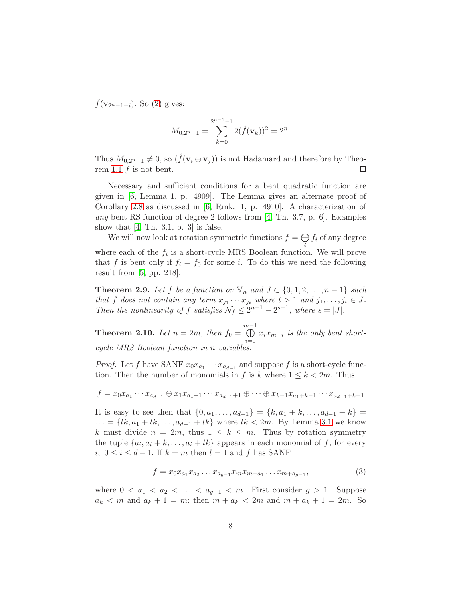$\hat{f}(\mathbf{v}_{2n-1-i})$ . So [\(2\)](#page-5-1) gives:

$$
M_{0,2^{n}-1} = \sum_{k=0}^{2^{n-1}-1} 2(\hat{f}(\mathbf{v}_k))^2 = 2^n.
$$

Thus  $M_{0,2^n-1} \neq 0$ , so  $(\hat{f}(\mathbf{v}_i \oplus \mathbf{v}_j))$  is not Hadamard and therefore by Theo-rem [1.1](#page-2-0)  $f$  is not bent. □

Necessary and sufficient conditions for a bent quadratic function are given in [\[6,](#page-15-1) Lemma 1, p. 4909]. The Lemma gives an alternate proof of Corollary [2.8](#page-6-0) as discussed in [\[6,](#page-15-1) Rmk. 1, p. 4910]. A characterization of any bent RS function of degree 2 follows from [\[4,](#page-15-2) Th. 3.7, p. 6]. Examples show that  $[4, Th. 3.1, p. 3]$  is false.

We will now look at rotation symmetric functions  $f = \bigoplus$ i  $f_i$  of any degree where each of the  $f_i$  is a short-cycle MRS Boolean function. We will prove that f is bent only if  $f_i = f_0$  for some i. To do this we need the following result from [\[5,](#page-15-3) pp. 218].

<span id="page-7-0"></span>**Theorem 2.9.** Let f be a function on  $\mathbb{V}_n$  and  $J \subset \{0, 1, 2, \ldots, n-1\}$  such that f does not contain any term  $x_{j_1} \cdots x_{j_t}$  where  $t > 1$  and  $j_1, \ldots, j_t \in J$ . Then the nonlinearity of f satisfies  $\mathcal{N}_f \leq 2^{n-1} - 2^{s-1}$ , where  $s = |J|$ .

<span id="page-7-2"></span>**Theorem 2.10.** Let  $n = 2m$ , then  $f_0 = \bigoplus^{m-1}$  $i=0$  $x_i x_{m+i}$  is the only bent shortcycle MRS Boolean function in n variables.

*Proof.* Let f have SANF  $x_0x_{a_1}\cdots x_{a_{d-1}}$  and suppose f is a short-cycle function. Then the number of monomials in f is k where  $1 \leq k \leq 2m$ . Thus,

$$
f = x_0 x_{a_1} \cdots x_{a_{d-1}} \oplus x_1 x_{a_1+1} \cdots x_{a_{d-1}+1} \oplus \cdots \oplus x_{k-1} x_{a_1+k-1} \cdots x_{a_{d-1}+k-1}
$$

It is easy to see then that  $\{0, a_1, \ldots, a_{d-1}\} = \{k, a_1 + k, \ldots, a_{d-1} + k\}$  $\dots = \{lk, a_1 + lk, \dots, a_{d-1} + lk \}$  where  $lk < 2m$ . By Lemma [3.1](#page-9-0) we know k must divide  $n = 2m$ , thus  $1 \leq k \leq m$ . Thus by rotation symmetry the tuple  $\{a_i, a_i + k, \ldots, a_i + lk\}$  appears in each monomial of f, for every *i*,  $0 \le i \le d-1$ . If  $k = m$  then  $l = 1$  and  $f$  has SANF

<span id="page-7-1"></span>
$$
f = x_0 x_{a_1} x_{a_2} \dots x_{a_{g-1}} x_m x_{m+a_1} \dots x_{m+a_{g-1}},
$$
\n(3)

where  $0 < a_1 < a_2 < \ldots < a_{g-1} < m$ . First consider  $g > 1$ . Suppose  $a_k < m$  and  $a_k + 1 = m$ ; then  $m + a_k < 2m$  and  $m + a_k + 1 = 2m$ . So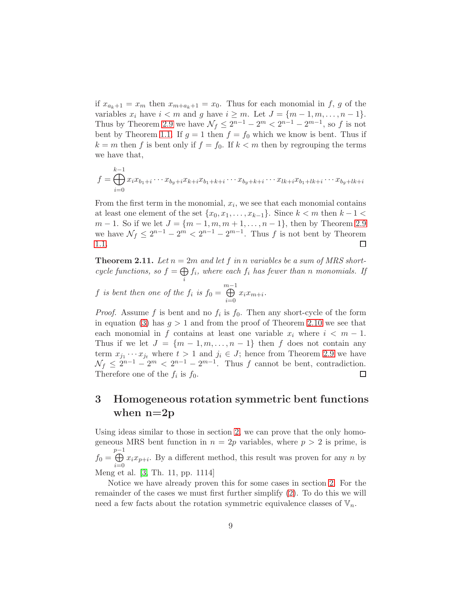if  $x_{a_k+1} = x_m$  then  $x_{m+a_k+1} = x_0$ . Thus for each monomial in f, g of the variables  $x_i$  have  $i < m$  and g have  $i \geq m$ . Let  $J = \{m-1, m, \ldots, n-1\}$ . Thus by Theorem [2.9](#page-7-0) we have  $\mathcal{N}_f \leq 2^{n-1} - 2^m < 2^{n-1} - 2^{m-1}$ , so f is not bent by Theorem [1.1.](#page-2-0) If  $g = 1$  then  $f = f_0$  which we know is bent. Thus if  $k = m$  then f is bent only if  $f = f_0$ . If  $k < m$  then by regrouping the terms we have that,

$$
f = \bigoplus_{i=0}^{k-1} x_i x_{b_1+i} \cdots x_{b_g+i} x_{k+i} x_{b_1+k+i} \cdots x_{b_g+k+i} \cdots x_{lk+i} x_{b_1+lk+i} \cdots x_{b_g+lk+i}
$$

From the first term in the monomial,  $x_i$ , we see that each monomial contains at least one element of the set  $\{x_0, x_1, \ldots, x_{k-1}\}$ . Since  $k < m$  then  $k - 1 <$  $m-1$ . So if we let  $J = \{m-1, m, m+1, \ldots, n-1\}$ , then by Theorem [2.9](#page-7-0) we have  $\mathcal{N}_f \leq 2^{n-1} - 2^m < 2^{n-1} - 2^{m-1}$ . Thus f is not bent by Theorem [1.1.](#page-2-0) □

<span id="page-8-0"></span>**Theorem 2.11.** Let  $n = 2m$  and let f in n variables be a sum of MRS shortcycle functions, so  $f = \bigoplus$ i  $f_i$ , where each  $f_i$  has fewer than n monomials. If

f is bent then one of the 
$$
f_i
$$
 is  $f_0 = \bigoplus_{i=0}^{m-1} x_i x_{m+i}$ .

*Proof.* Assume f is bent and no  $f_i$  is  $f_0$ . Then any short-cycle of the form in equation [\(3\)](#page-7-1) has  $g > 1$  and from the proof of Theorem [2.10](#page-7-2) we see that each monomial in f contains at least one variable  $x_i$  where  $i < m - 1$ . Thus if we let  $J = \{m-1, m, \ldots, n-1\}$  then f does not contain any term  $x_{j_1} \cdots x_{j_t}$  where  $t > 1$  and  $j_i \in J$ ; hence from Theorem [2.9](#page-7-0) we have  $\mathcal{N}_f \leq 2^{n-1} - 2^m < 2^{n-1} - 2^{m-1}$ . Thus f cannot be bent, contradiction. Therefore one of the  $f_i$  is  $f_0$ . □

# <span id="page-8-1"></span>3 Homogeneous rotation symmetric bent functions when  $n=2p$

Using ideas similar to those in section [2,](#page-2-1) we can prove that the only homogeneous MRS bent function in  $n = 2p$  variables, where  $p > 2$  is prime, is  $f_0 = \bigoplus^{p-1}$  $p-1$  $i=0$  $x_i x_{p+i}$ . By a different method, this result was proven for any n by Meng et al. [\[3,](#page-15-4) Th. 11, pp. 1114]

Notice we have already proven this for some cases in section [2.](#page-2-1) For the remainder of the cases we must first further simplify [\(2\)](#page-5-1). To do this we will need a few facts about the rotation symmetric equivalence classes of  $V_n$ .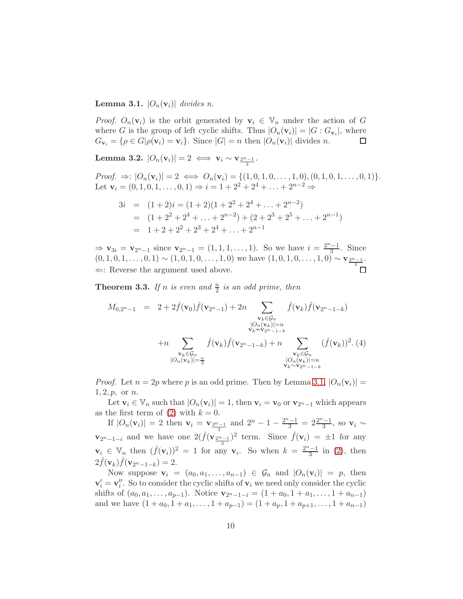#### <span id="page-9-0"></span>**Lemma 3.1.**  $|O_n(\mathbf{v}_i)|$  divides n.

*Proof.*  $O_n(\mathbf{v}_i)$  is the orbit generated by  $\mathbf{v}_i \in V_n$  under the action of G where G is the group of left cyclic shifts. Thus  $|O_n(\mathbf{v}_i)| = |G: G_{\mathbf{v}_i}|$ , where  $G_{\mathbf{v}_i} = {\rho \in G|\rho(\mathbf{v}_i) = \mathbf{v}_i}.$  Since  $|G| = n$  then  $|O_n(\mathbf{v}_i)|$  divides n. □

Lemma 3.2.  $|O_n(\mathbf{v}_i)| = 2 \iff \mathbf{v}_i \sim \mathbf{v}_{\frac{2^n-1}{3}}.$ 

*Proof.* ⇒:  $|O_n(\mathbf{v}_i)| = 2 \iff O_n(\mathbf{v}_i) = \{(1, 0, 1, 0, \dots, 1, 0), (0, 1, 0, 1, \dots, 0, 1)\}.$ Let  $\mathbf{v}_i = (0, 1, 0, 1, \dots, 0, 1) \Rightarrow i = 1 + 2^2 + 2^4 + \dots + 2^{n-2} \Rightarrow$ 

$$
3i = (1+2)i = (1+2)(1+2^2+2^4+\dots+2^{n-2})
$$
  
=  $(1+2^2+2^4+\dots+2^{n-2})+(2+2^3+2^5+\dots+2^{n-1})$   
=  $1+2+2^2+2^3+2^4+\dots+2^{n-1}$ 

 $\Rightarrow$  **v**<sub>3i</sub> = **v**<sub>2<sup>n</sup>-1</sub> since **v**<sub>2</sub><sup>n</sup>-1</sub> = (1, 1, 1, ..., 1). So we have  $i = \frac{2^{n}-1}{3}$  $\frac{1}{3}$ . Since  $(0, 1, 0, 1, \ldots, 0, 1) \sim (1, 0, 1, 0, \ldots, 1, 0)$  we have  $(1, 0, 1, 0, \ldots, 1, 0) \sim \mathbf{v}_{\frac{2^n-1}{3}}$ .  $\Leftarrow$ : Reverse the argument used above.

**Theorem 3.3.** If n is even and  $\frac{n}{2}$  is an odd prime, then

<span id="page-9-1"></span>
$$
M_{0,2^{n}-1} = 2 + 2 \hat{f}(\mathbf{v}_{0}) \hat{f}(\mathbf{v}_{2^{n}-1}) + 2n \sum_{\substack{\mathbf{v}_{k} \in \mathcal{G}_{n} \\ |\mathcal{O}_{n}(\mathbf{v}_{k})| = n \\ \mathbf{v}_{k} \sim \mathbf{v}_{2^{n}-1-k}}} \hat{f}(\mathbf{v}_{k}) \hat{f}(\mathbf{v}_{2^{n}-1-k}) + n \sum_{\substack{\mathbf{v}_{k} \in \mathcal{G}_{n} \\ |\mathcal{O}_{n}(\mathbf{v}_{k})| = n}} (\hat{f}(\mathbf{v}_{k}))^{2}.
$$
 (4)

*Proof.* Let  $n = 2p$  where p is an odd prime. Then by Lemma [3.1,](#page-9-0)  $|O_n(\mathbf{v}_i)| =$  $1, 2, p, \text{ or } n.$ 

Let  $\mathbf{v}_i \in \mathbb{V}_n$  such that  $|O_n(\mathbf{v}_i)| = 1$ , then  $\mathbf{v}_i = \mathbf{v}_0$  or  $\mathbf{v}_{2^n-1}$  which appears as the first term of [\(2\)](#page-5-1) with  $k = 0$ .

If  $|O_n(\mathbf{v}_i)| = 2$  then  $\mathbf{v}_i = \mathbf{v}_{\frac{2^{n}-1}{3}}$  and  $2^n - 1 - \frac{2^{n}-1}{3} = 2\frac{2^{n}-1}{3}$  $\mathbf{v}_{2^{n}-1-i}$  and we have one  $2(\hat{f}(\mathbf{v}_{\frac{2^{n}-1}{3}})^{2}$  term. Since  $\hat{f}(\mathbf{v}_{i}) = \pm 1$  for any  $\frac{i-1}{3}$ , so  $\mathbf{v}_i \sim$  $\mathbf{v}_i \in \mathbb{V}_n$  then  $(\hat{f}(\mathbf{v}_i))^2 = 1$  for any  $\mathbf{v}_i$ . So when  $k = \frac{2^n-1}{3}$  $\frac{1}{3}$  in [\(2\)](#page-5-1), then  $2\hat{f}(\mathbf{v}_k)\hat{f}(\mathbf{v}_{2n-1-k})=2.$ 

Now suppose  $\mathbf{v}_i = (a_0, a_1, \dots, a_{n-1}) \in \mathcal{G}_n$  and  $|O_n(\mathbf{v}_i)| = p$ , then  $\mathbf{v}'_i = \mathbf{v}''_i$ . So to consider the cyclic shifts of  $\mathbf{v}_i$  we need only consider the cyclic shifts of  $(a_0, a_1, \ldots, a_{p-1})$ . Notice  $\mathbf{v}_{2^{n}-1-i} = (1 + a_0, 1 + a_1, \ldots, 1 + a_{n-1})$ and we have  $(1 + a_0, 1 + a_1, \ldots, 1 + a_{p-1}) = (1 + a_p, 1 + a_{p+1}, \ldots, 1 + a_{n-1})$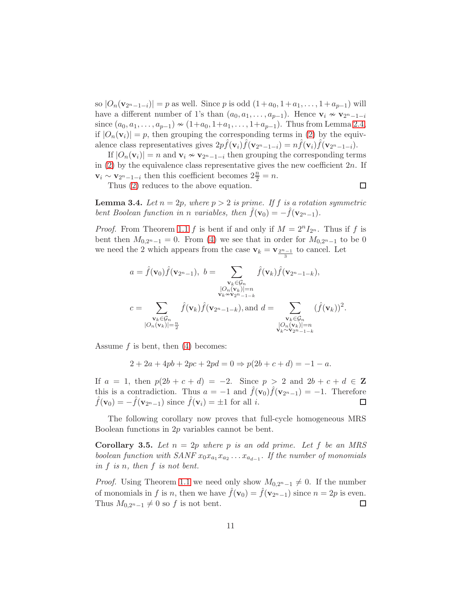so  $|O_n(\mathbf{v}_{2^{n}-1-i})| = p$  as well. Since p is odd  $(1+a_0, 1+a_1, \ldots, 1+a_{p-1})$  will have a different number of 1's than  $(a_0, a_1, \ldots, a_{p-1})$ . Hence  $\mathbf{v}_i \nsim \mathbf{v}_{2^{n}-1-i}$ since  $(a_0, a_1, \ldots, a_{p-1}) \sim (1+a_0, 1+a_1, \ldots, 1+a_{p-1})$ . Thus from Lemma [2.4,](#page-4-0) if  $|O_n(\mathbf{v}_i)| = p$ , then grouping the corresponding terms in [\(2\)](#page-5-1) by the equivalence class representatives gives  $2p\hat{f}(\mathbf{v}_i)\hat{f}(\mathbf{v}_{2^n-1-i}) = n\hat{f}(\mathbf{v}_i)\hat{f}(\mathbf{v}_{2^n-1-i}).$ 

If  $|O_n(\mathbf{v}_i)| = n$  and  $\mathbf{v}_i \sim \mathbf{v}_{2^n-1-i}$  then grouping the corresponding terms in  $(2)$  by the equivalence class representative gives the new coefficient  $2n$ . If  $\mathbf{v}_i \sim \mathbf{v}_{2^n-1-i}$  then this coefficient becomes  $2\frac{n}{2} = n$ .

Thus [\(2\)](#page-5-1) reduces to the above equation.

 $\Box$ 

<span id="page-10-1"></span>**Lemma 3.4.** Let  $n = 2p$ , where  $p > 2$  is prime. If f is a rotation symmetric bent Boolean function in n variables, then  $\hat{f}(\mathbf{v}_0) = -\hat{f}(\mathbf{v}_{2n-1}).$ 

*Proof.* From Theorem [1.1](#page-2-0) f is bent if and only if  $M = 2^{n} I_{2^{n}}$ . Thus if f is bent then  $M_{0,2^{n}-1} = 0$ . From [\(4\)](#page-9-1) we see that in order for  $M_{0,2^{n}-1}$  to be 0 we need the 2 which appears from the case  $\mathbf{v}_k = \mathbf{v}_{\frac{2^n-1}{3}}$  to cancel. Let

$$
a = \hat{f}(\mathbf{v}_0)\hat{f}(\mathbf{v}_{2n-1}), b = \sum_{\substack{\mathbf{v}_k \in \mathcal{G}_n \\ \mathbf{v}_k \sim \mathbf{v}_{2n-1-k} \\ \mathbf{v}_k \sim \mathbf{v}_{2n-1-k}}} \hat{f}(\mathbf{v}_k)\hat{f}(\mathbf{v}_{2n-1-k}),
$$
  

$$
c = \sum_{\substack{\mathbf{v}_k \in \mathcal{G}_n \\ |\mathcal{O}_n(\mathbf{v}_k)| = \frac{n}{2}}} \hat{f}(\mathbf{v}_k)\hat{f}(\mathbf{v}_{2n-1-k}),
$$
and 
$$
d = \sum_{\substack{\mathbf{v}_k \in \mathcal{G}_n \\ |\mathcal{O}_n(\mathbf{v}_k)| = n \\ \mathbf{v}_k \sim \mathbf{v}_{2n-1-k}}} (\hat{f}(\mathbf{v}_k))^2.
$$

Assume f is bent, then [\(4\)](#page-9-1) becomes:

$$
2 + 2a + 4pb + 2pc + 2pd = 0 \Rightarrow p(2b + c + d) = -1 - a.
$$

If  $a = 1$ , then  $p(2b + c + d) = -2$ . Since  $p > 2$  and  $2b + c + d \in \mathbb{Z}$ this is a contradiction. Thus  $a = -1$  and  $\hat{f}(\mathbf{v}_0)\hat{f}(\mathbf{v}_{2^{n}-1}) = -1$ . Therefore  $\hat{f}(\mathbf{v}_0) = -\hat{f}(\mathbf{v}_{2n-1})$  since  $\hat{f}(\mathbf{v}_i) = \pm 1$  for all *i*. ◻

The following corollary now proves that full-cycle homogeneous MRS Boolean functions in 2p variables cannot be bent.

<span id="page-10-0"></span>**Corollary 3.5.** Let  $n = 2p$  where p is an odd prime. Let f be an MRS boolean function with  $SANF x_0 x_{a_1} x_{a_2} \ldots x_{a_{d-1}}$ . If the number of monomials in f is n, then f is not bent.

*Proof.* Using Theorem [1.1](#page-2-0) we need only show  $M_{0,2^n-1} \neq 0$ . If the number of monomials in f is n, then we have  $\hat{f}(\mathbf{v}_0) = \hat{f}(\mathbf{v}_{2n-1})$  since  $n = 2p$  is even. Thus  $M_{0,2^n-1} \neq 0$  so f is not bent. □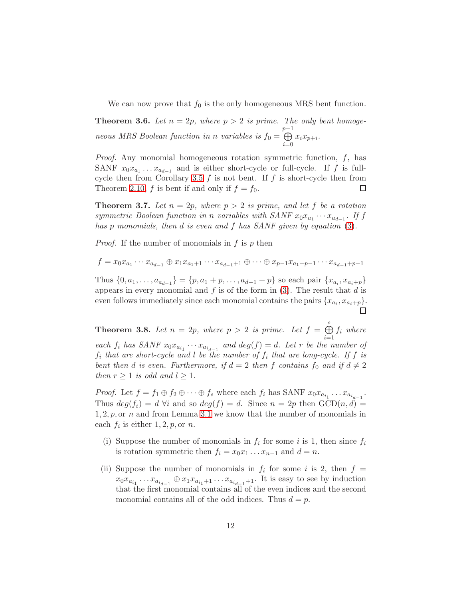We can now prove that  $f_0$  is the only homogeneous MRS bent function.

**Theorem 3.6.** Let  $n = 2p$ , where  $p > 2$  is prime. The only bent homogeneous MRS Boolean function in n variables is  $f_0 =$  $\bigoplus_{P-1}$  $i=0$  $x_i x_{p+i}$ .

*Proof.* Any monomial homogeneous rotation symmetric function,  $f$ , has SANF  $x_0x_{a_1} \ldots x_{a_{d-1}}$  and is either short-cycle or full-cycle. If f is full-cycle then from Corollary [3.5](#page-10-0)  $f$  is not bent. If  $f$  is short-cycle then from Theorem [2.10,](#page-7-2) f is bent if and only if  $f = f_0$ . □

<span id="page-11-0"></span>**Theorem 3.7.** Let  $n = 2p$ , where  $p > 2$  is prime, and let f be a rotation symmetric Boolean function in n variables with  $SANF x_0x_{a_1}\cdots x_{a_{d-1}}$ . If f has p monomials, then d is even and f has SANF given by equation [\(3\)](#page-7-1).

*Proof.* If the number of monomials in  $f$  is  $p$  then

$$
f = x_0 x_{a_1} \cdots x_{a_{d-1}} \oplus x_1 x_{a_1+1} \cdots x_{a_{d-1}+1} \oplus \cdots \oplus x_{p-1} x_{a_1+p-1} \cdots x_{a_{d-1}+p-1}
$$

Thus  $\{0, a_1, \ldots, a_{a_{d-1}}\} = \{p, a_1 + p, \ldots, a_{d-1} + p\}$  so each pair  $\{x_{a_i}, x_{a_i+p}\}$ appears in every monomial and  $f$  is of the form in  $(3)$ . The result that  $d$  is even follows immediately since each monomial contains the pairs  $\{x_{a_i}, x_{a_i+p}\}.$ 

<span id="page-11-1"></span>**Theorem 3.8.** Let  $n = 2p$ , where  $p > 2$  is prime. Let  $f = \bigoplus^{s}$  $i=1$  $f_i$  where each  $f_i$  has SANF  $x_0x_{a_{i_1}}\cdots x_{a_{i_{d-1}}}$  and  $deg(f) = d$ . Let r be the number of  $f_i$  that are short-cycle and l be the number of  $f_i$  that are long-cycle. If f is bent then d is even. Furthermore, if  $d = 2$  then f contains  $f_0$  and if  $d \neq 2$ then  $r \geq 1$  is odd and  $l \geq 1$ .

*Proof.* Let  $f = f_1 \oplus f_2 \oplus \cdots \oplus f_s$  where each  $f_i$  has SANF  $x_0 x_{a_{i_1}} \ldots x_{a_{i_{d-1}}}$ . Thus  $deg(f_i) = d$   $\forall i$  and so  $deg(f) = d$ . Since  $n = 2p$  then  $GCD(n, d) =$  $1, 2, p$ , or n and from Lemma [3.1](#page-9-0) we know that the number of monomials in each  $f_i$  is either  $1, 2, p$ , or n.

- (i) Suppose the number of monomials in  $f_i$  for some i is 1, then since  $f_i$ is rotation symmetric then  $f_i = x_0 x_1 \dots x_{n-1}$  and  $d = n$ .
- (ii) Suppose the number of monomials in  $f_i$  for some i is 2, then  $f =$  $x_0x_{a_{i_1}}\ldots x_{a_{i_{d-1}}} \oplus x_1x_{a_{i_1}+1}\ldots x_{a_{i_{d-1}}+1}$ . It is easy to see by induction that the first monomial contains all of the even indices and the second monomial contains all of the odd indices. Thus  $d = p$ .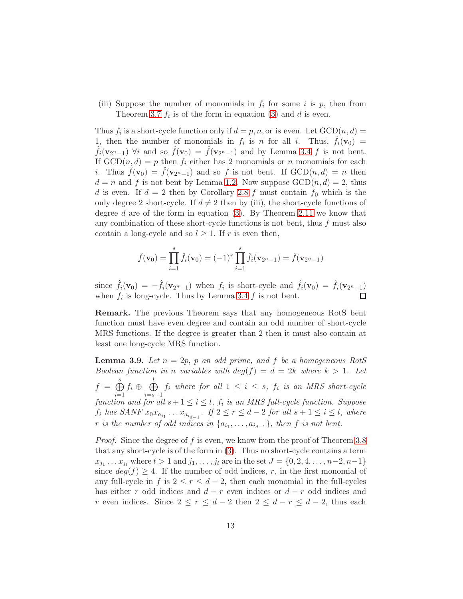(iii) Suppose the number of monomials in  $f_i$  for some i is p, then from Theorem [3.7](#page-11-0)  $f_i$  is of the form in equation [\(3\)](#page-7-1) and d is even.

Thus  $f_i$  is a short-cycle function only if  $d = p, n$ , or is even. Let  $GCD(n, d) =$ 1, then the number of monomials in  $f_i$  is n for all i. Thus,  $\hat{f}_i(\mathbf{v}_0)$  =  $\hat{f}_i(\mathbf{v}_{2^n-1})$   $\forall i$  and so  $\hat{f}(\mathbf{v}_0) = \hat{f}(\mathbf{v}_{2^n-1})$  and by Lemma [3.4](#page-10-1) f is not bent. If  $GCD(n, d) = p$  then  $f_i$  either has 2 monomials or n monomials for each *i*. Thus  $f(\mathbf{v}_0) = f(\mathbf{v}_{2n-1})$  and so f is not bent. If  $GCD(n,d) = n$  then  $d = n$  and f is not bent by Lemma [1.2.](#page-2-2) Now suppose  $GCD(n, d) = 2$ , thus d is even. If  $d = 2$  then by Corollary [2.8](#page-6-0) f must contain  $f_0$  which is the only degree 2 short-cycle. If  $d \neq 2$  then by (iii), the short-cycle functions of degree d are of the form in equation [\(3\)](#page-7-1). By Theorem [2.11](#page-8-0) we know that any combination of these short-cycle functions is not bent, thus  $f$  must also contain a long-cycle and so  $l \geq 1$ . If r is even then,

$$
\hat{f}(\mathbf{v}_0) = \prod_{i=1}^s \hat{f}_i(\mathbf{v}_0) = (-1)^r \prod_{i=1}^s \hat{f}_i(\mathbf{v}_{2^n-1}) = \hat{f}(\mathbf{v}_{2^n-1})
$$

since  $\hat{f}_i(\mathbf{v}_0) = -\hat{f}_i(\mathbf{v}_{2n-1})$  when  $f_i$  is short-cycle and  $\hat{f}_i(\mathbf{v}_0) = \hat{f}_i(\mathbf{v}_{2n-1})$ when  $f_i$  is long-cycle. Thus by Lemma [3.4](#page-10-1)  $f$  is not bent.

Remark. The previous Theorem says that any homogeneous RotS bent function must have even degree and contain an odd number of short-cycle MRS functions. If the degree is greater than 2 then it must also contain at least one long-cycle MRS function.

<span id="page-12-0"></span>**Lemma 3.9.** Let  $n = 2p$ , p an odd prime, and f be a homogeneous RotS Boolean function in n variables with  $deg(f) = d = 2k$  where  $k > 1$ . Let  $f = \bigoplus^s$  $i=1$  $f_i \oplus \phi$  $i=$ s+1  $f_i$  where for all  $1 \leq i \leq s$ ,  $f_i$  is an MRS short-cycle function and for all  $s+1 \leq i \leq l$ ,  $f_i$  is an MRS full-cycle function. Suppose  $f_i$  has SANF  $x_0x_{a_{i_1}}\ldots x_{a_{i_{d-1}}}$ . If  $2 \leq r \leq d-2$  for all  $s+1 \leq i \leq l$ , where r is the number of odd indices in  $\{a_{i_1}, \ldots, a_{i_{d-1}}\}$ , then f is not bent.

Proof. Since the degree of f is even, we know from the proof of Theorem [3.8](#page-11-1) that any short-cycle is of the form in [\(3\)](#page-7-1). Thus no short-cycle contains a term  $x_{j_1} \ldots x_{j_t}$  where  $t > 1$  and  $j_1, \ldots, j_t$  are in the set  $J = \{0, 2, 4, \ldots, n-2, n-1\}$ since  $deg(f) \geq 4$ . If the number of odd indices, r, in the first monomial of any full-cycle in f is  $2 \le r \le d-2$ , then each monomial in the full-cycles has either r odd indices and  $d - r$  even indices or  $d - r$  odd indices and r even indices. Since  $2 \le r \le d-2$  then  $2 \le d-r \le d-2$ , thus each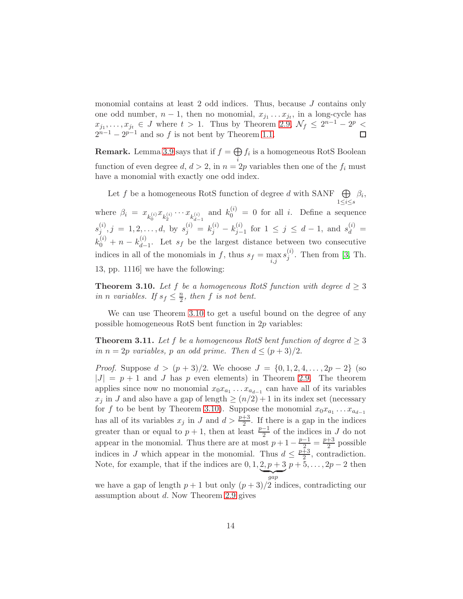monomial contains at least 2 odd indices. Thus, because J contains only one odd number,  $n-1$ , then no monomial,  $x_{j_1} \ldots x_{j_t}$ , in a long-cycle has  $x_{j_1}, \ldots, x_{j_t} \in J$  where  $t > 1$ . Thus by Theorem [2.9,](#page-7-0)  $\mathcal{N}_f \leq 2^{n-1} - 2^p <$  $2^{n-1} - 2^{p-1}$  and so f is not bent by Theorem [1.1.](#page-2-0)  $\Box$ 

**Remark.** Lemma [3.9](#page-12-0) says that if  $f = \bigoplus f_i$  is a homogeneous RotS Boolean function of even degree  $d, d > 2$ , in  $n = 2p$  variables then one of the  $f_i$  must have a monomial with exactly one odd index.

Let f be a homogeneous RotS function of degree d with SANF  $\oplus$  $1\leq i\leq s$  $\beta_i,$ where  $\beta_i = x_{k_0^{(i)}} x_{k_2^{(i)}} \cdots x_{k_{d-1}^{(i)}}$  and  $k_0^{(i)} = 0$  for all *i*. Define a sequence  $s_i^{(i)}$  $s_j^{(i)}, j = 1, 2, \ldots, d$ , by  $s_j^{(i)} = k_j^{(i)} - k_{j-1}^{(i)}$  $j-1$  for 1 ≤ j ≤ d – 1, and  $s_d^{(i)}$  =  $k_0^{(i)} + n - k_{d-}^{(i)}$  $\frac{d^{(i)}}{d-1}$ . Let  $s_f$  be the largest distance between two consecutive indices in all of the monomials in f, thus  $s_f = \max_{i,j} s_j^{(i)}$  $j^{\left(i\right)}$ . Then from [\[3,](#page-15-4) Th. 13, pp. 1116] we have the following:

<span id="page-13-0"></span>**Theorem 3.10.** Let f be a homogeneous RotS function with degree  $d \geq 3$ in *n* variables. If  $s_f \leq \frac{n}{2}$  $\frac{n}{2}$ , then f is not bent.

We can use Theorem [3.10](#page-13-0) to get a useful bound on the degree of any possible homogeneous RotS bent function in 2p variables:

**Theorem 3.11.** Let f be a homogeneous RotS bent function of degree  $d \geq 3$ in  $n = 2p$  variables, p an odd prime. Then  $d \leq (p+3)/2$ .

*Proof.* Suppose  $d > (p+3)/2$ . We choose  $J = \{0, 1, 2, 4, ..., 2p-2\}$  (so  $|J| = p + 1$  and J has p even elements) in Theorem [2.9.](#page-7-0) The theorem applies since now no monomial  $x_0x_{a_1} \ldots x_{a_{d-1}}$  can have all of its variables  $x_j$  in J and also have a gap of length  $\geq (n/2) + 1$  in its index set (necessary for f to be bent by Theorem [3.10\)](#page-13-0). Suppose the monomial  $x_0x_{a_1} \ldots x_{a_{d-1}}$ has all of its variables  $x_j$  in J and  $d > \frac{p+3}{2}$ . If there is a gap in the indices greater than or equal to  $p + 1$ , then at least  $\frac{p-1}{2}$  of the indices in J do not appear in the monomial. Thus there are at most  $p+1-\frac{p-1}{2}=\frac{p+3}{2}$  $\frac{+3}{2}$  possible indices in J which appear in the monomial. Thus  $d \leq \frac{p+3}{2}$  $\frac{+3}{2}$ , contradiction. Note, for example, that if the indices are  $0, 1, 2, p+3$  $\overline{a}$   $\overline{a}$ gap  $p + 5, \ldots, 2p - 2$  then

we have a gap of length  $p + 1$  but only  $(p + 3)/2$  indices, contradicting our assumption about  $d$ . Now Theorem [2.9](#page-7-0) gives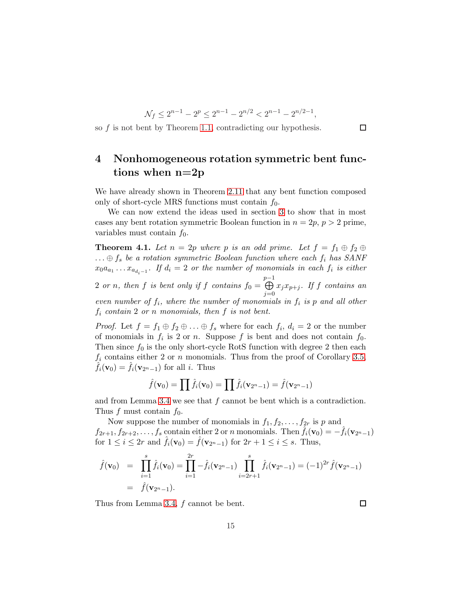$$
\mathcal{N}_f \le 2^{n-1} - 2^p \le 2^{n-1} - 2^{n/2} < 2^{n-1} - 2^{n/2 - 1},
$$

so f is not bent by Theorem [1.1,](#page-2-0) contradicting our hypothesis.

# 4 Nonhomogeneous rotation symmetric bent functions when n=2p

We have already shown in Theorem [2.11](#page-8-0) that any bent function composed only of short-cycle MRS functions must contain  $f_0$ .

We can now extend the ideas used in section [3](#page-8-1) to show that in most cases any bent rotation symmetric Boolean function in  $n = 2p$ ,  $p > 2$  prime, variables must contain  $f_0$ .

**Theorem 4.1.** Let  $n = 2p$  where p is an odd prime. Let  $f = f_1 \oplus f_2 \oplus f_3$  $\ldots \oplus f_s$  be a rotation symmetric Boolean function where each  $f_i$  has SANF  $x_0a_{a_1}\ldots x_{a_{d_i-1}}$ . If  $d_i=2$  or the number of monomials in each  $f_i$  is either

2 or n, then f is bent only if f contains  $f_0 =$  $\bigoplus_{P-1}$  $j=0$  $x_jx_{p+j}$ . If f contains an even number of  $f_i$ , where the number of monomials in  $f_i$  is p and all other  $f_i$  contain 2 or n monomials, then  $f$  is not bent.

*Proof.* Let  $f = f_1 \oplus f_2 \oplus \ldots \oplus f_s$  where for each  $f_i$ ,  $d_i = 2$  or the number of monomials in  $f_i$  is 2 or n. Suppose f is bent and does not contain  $f_0$ . Then since  $f_0$  is the only short-cycle RotS function with degree 2 then each  $f_i$  contains either 2 or n monomials. Thus from the proof of Corollary [3.5,](#page-10-0)  $\hat{f}_i(\mathbf{v}_0) = \hat{f}_i(\mathbf{v}_{2^n-1})$  for all *i*. Thus

$$
\hat{f}(\mathbf{v}_0) = \prod \hat{f}_i(\mathbf{v}_0) = \prod \hat{f}_i(\mathbf{v}_{2^n-1}) = \hat{f}(\mathbf{v}_{2^n-1})
$$

and from Lemma [3.4](#page-10-1) we see that  $f$  cannot be bent which is a contradiction. Thus f must contain  $f_0$ .

Now suppose the number of monomials in  $f_1, f_2, \ldots, f_{2r}$  is p and  $f_{2r+1}, f_{2r+2}, \ldots, f_s$  contain either 2 or n monomials. Then  $\hat{f}_i(\mathbf{v}_0) = -\hat{f}_i(\mathbf{v}_{2^n-1})$ for  $1 \leq i \leq 2r$  and  $\hat{f}_i(\mathbf{v}_0) = \hat{f}(\mathbf{v}_{2n-1})$  for  $2r + 1 \leq i \leq s$ . Thus,

$$
\hat{f}(\mathbf{v}_0) = \prod_{i=1}^s \hat{f}_i(\mathbf{v}_0) = \prod_{i=1}^{2r} -\hat{f}_i(\mathbf{v}_{2^n-1}) \prod_{i=2r+1}^s \hat{f}_i(\mathbf{v}_{2^n-1}) = (-1)^{2r} \hat{f}(\mathbf{v}_{2^n-1}) \n= \hat{f}(\mathbf{v}_{2^n-1}).
$$

Thus from Lemma [3.4,](#page-10-1) f cannot be bent.

 $\Box$ 

□